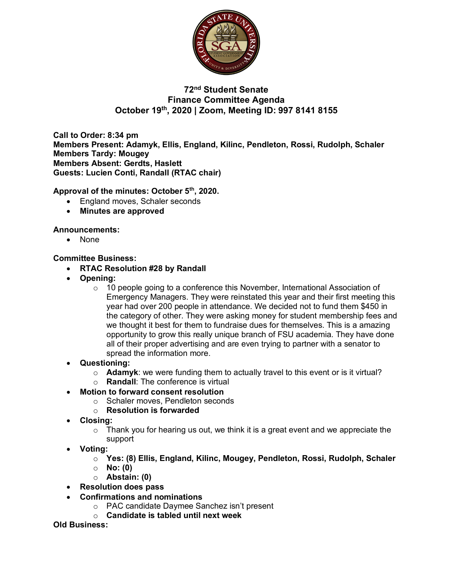

# **72nd Student Senate Finance Committee Agenda October 19th, 2020 | Zoom, Meeting ID: 997 8141 8155**

**Call to Order: 8:34 pm Members Present: Adamyk, Ellis, England, Kilinc, Pendleton, Rossi, Rudolph, Schaler Members Tardy: Mougey Members Absent: Gerdts, Haslett Guests: Lucien Conti, Randall (RTAC chair)** 

**Approval of the minutes: October 5th, 2020.**

- England moves, Schaler seconds
- **Minutes are approved**

### **Announcements:**

• None

#### **Committee Business:**

- **RTAC Resolution #28 by Randall**
- **Opening:** 
	- $\circ$  10 people going to a conference this November, International Association of Emergency Managers. They were reinstated this year and their first meeting this year had over 200 people in attendance. We decided not to fund them \$450 in the category of other. They were asking money for student membership fees and we thought it best for them to fundraise dues for themselves. This is a amazing opportunity to grow this really unique branch of FSU academia. They have done all of their proper advertising and are even trying to partner with a senator to spread the information more.
- **Questioning:**
	- o **Adamyk**: we were funding them to actually travel to this event or is it virtual?
	- o **Randall**: The conference is virtual
- **Motion to forward consent resolution**
	- o Schaler moves, Pendleton seconds
	- o **Resolution is forwarded**
- **Closing:** 
	- $\circ$  Thank you for hearing us out, we think it is a great event and we appreciate the support
- **Voting:**
	- o **Yes: (8) Ellis, England, Kilinc, Mougey, Pendleton, Rossi, Rudolph, Schaler**
	- o **No: (0)**
	- o **Abstain: (0)**
- **Resolution does pass**
- **Confirmations and nominations**
	- o PAC candidate Daymee Sanchez isn't present
	- o **Candidate is tabled until next week**

**Old Business:**